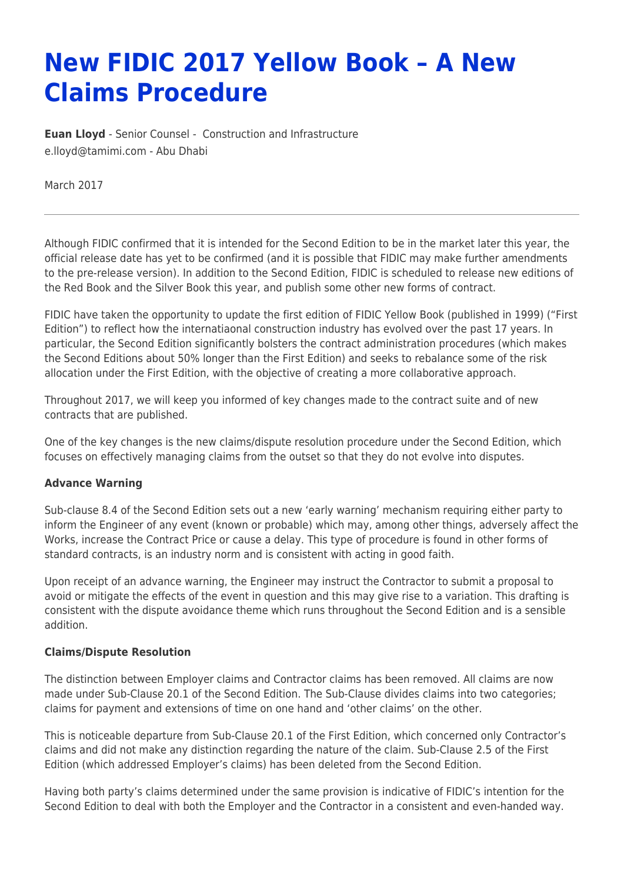# **New FIDIC 2017 Yellow Book – A New Claims Procedure**

**[Euan Lloyd](https://www.tamimi.com/find-a-lawyer/euan-lloyd/)** - Senior Counsel - [Construction and Infrastructure](https://www.tamimi.com/client-services/practices/construction-infrastructure/) [e.lloyd@tamimi.com](mailto:e.lloyd@tamimi.com) - [Abu Dhabi](https://www.tamimi.com/locations/uae/)

March 2017

Although FIDIC confirmed that it is intended for the Second Edition to be in the market later this year, the official release date has yet to be confirmed (and it is possible that FIDIC may make further amendments to the pre-release version). In addition to the Second Edition, FIDIC is scheduled to release new editions of the Red Book and the Silver Book this year, and publish some other new forms of contract.

FIDIC have taken the opportunity to update the first edition of FIDIC Yellow Book (published in 1999) ("First Edition") to reflect how the internatiaonal construction industry has evolved over the past 17 years. In particular, the Second Edition significantly bolsters the contract administration procedures (which makes the Second Editions about 50% longer than the First Edition) and seeks to rebalance some of the risk allocation under the First Edition, with the objective of creating a more collaborative approach.

Throughout 2017, we will keep you informed of key changes made to the contract suite and of new contracts that are published.

One of the key changes is the new claims/dispute resolution procedure under the Second Edition, which focuses on effectively managing claims from the outset so that they do not evolve into disputes.

#### **Advance Warning**

Sub-clause 8.4 of the Second Edition sets out a new 'early warning' mechanism requiring either party to inform the Engineer of any event (known or probable) which may, among other things, adversely affect the Works, increase the Contract Price or cause a delay. This type of procedure is found in other forms of standard contracts, is an industry norm and is consistent with acting in good faith.

Upon receipt of an advance warning, the Engineer may instruct the Contractor to submit a proposal to avoid or mitigate the effects of the event in question and this may give rise to a variation. This drafting is consistent with the dispute avoidance theme which runs throughout the Second Edition and is a sensible addition.

#### **Claims/Dispute Resolution**

The distinction between Employer claims and Contractor claims has been removed. All claims are now made under Sub-Clause 20.1 of the Second Edition. The Sub-Clause divides claims into two categories; claims for payment and extensions of time on one hand and 'other claims' on the other.

This is noticeable departure from Sub-Clause 20.1 of the First Edition, which concerned only Contractor's claims and did not make any distinction regarding the nature of the claim. Sub-Clause 2.5 of the First Edition (which addressed Employer's claims) has been deleted from the Second Edition.

Having both party's claims determined under the same provision is indicative of FIDIC's intention for the Second Edition to deal with both the Employer and the Contractor in a consistent and even-handed way.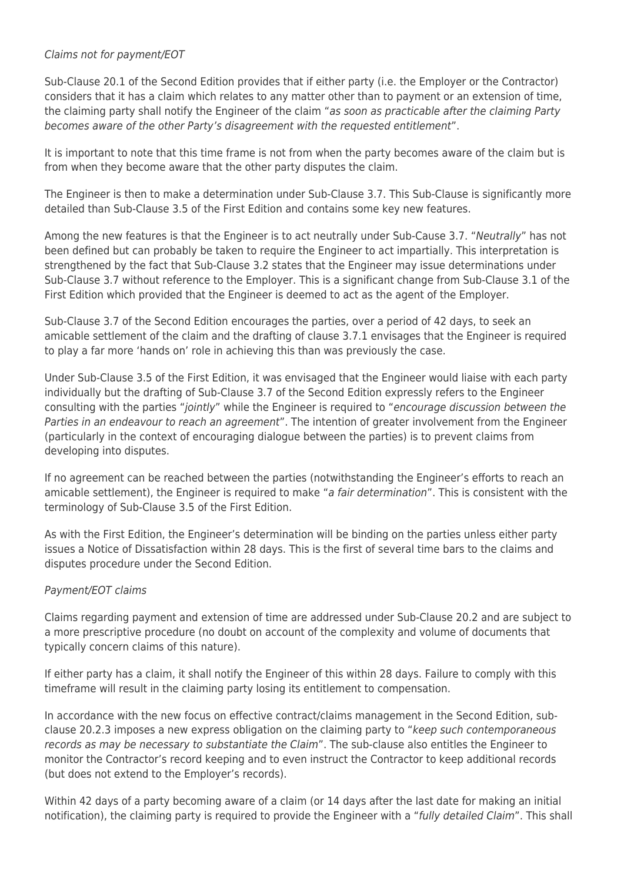## Claims not for payment/EOT

Sub-Clause 20.1 of the Second Edition provides that if either party (i.e. the Employer or the Contractor) considers that it has a claim which relates to any matter other than to payment or an extension of time, the claiming party shall notify the Engineer of the claim "as soon as practicable after the claiming Party becomes aware of the other Party's disagreement with the requested entitlement".

It is important to note that this time frame is not from when the party becomes aware of the claim but is from when they become aware that the other party disputes the claim.

The Engineer is then to make a determination under Sub-Clause 3.7. This Sub-Clause is significantly more detailed than Sub-Clause 3.5 of the First Edition and contains some key new features.

Among the new features is that the Engineer is to act neutrally under Sub-Cause 3.7. "Neutrally" has not been defined but can probably be taken to require the Engineer to act impartially. This interpretation is strengthened by the fact that Sub-Clause 3.2 states that the Engineer may issue determinations under Sub-Clause 3.7 without reference to the Employer. This is a significant change from Sub-Clause 3.1 of the First Edition which provided that the Engineer is deemed to act as the agent of the Employer.

Sub-Clause 3.7 of the Second Edition encourages the parties, over a period of 42 days, to seek an amicable settlement of the claim and the drafting of clause 3.7.1 envisages that the Engineer is required to play a far more 'hands on' role in achieving this than was previously the case.

Under Sub-Clause 3.5 of the First Edition, it was envisaged that the Engineer would liaise with each party individually but the drafting of Sub-Clause 3.7 of the Second Edition expressly refers to the Engineer consulting with the parties "jointly" while the Engineer is required to "encourage discussion between the Parties in an endeavour to reach an agreement". The intention of greater involvement from the Engineer (particularly in the context of encouraging dialogue between the parties) is to prevent claims from developing into disputes.

If no agreement can be reached between the parties (notwithstanding the Engineer's efforts to reach an amicable settlement), the Engineer is required to make "a fair determination". This is consistent with the terminology of Sub-Clause 3.5 of the First Edition.

As with the First Edition, the Engineer's determination will be binding on the parties unless either party issues a Notice of Dissatisfaction within 28 days. This is the first of several time bars to the claims and disputes procedure under the Second Edition.

#### Payment/EOT claims

Claims regarding payment and extension of time are addressed under Sub-Clause 20.2 and are subject to a more prescriptive procedure (no doubt on account of the complexity and volume of documents that typically concern claims of this nature).

If either party has a claim, it shall notify the Engineer of this within 28 days. Failure to comply with this timeframe will result in the claiming party losing its entitlement to compensation.

In accordance with the new focus on effective contract/claims management in the Second Edition, subclause 20.2.3 imposes a new express obligation on the claiming party to "keep such contemporaneous records as may be necessary to substantiate the Claim". The sub-clause also entitles the Engineer to monitor the Contractor's record keeping and to even instruct the Contractor to keep additional records (but does not extend to the Employer's records).

Within 42 days of a party becoming aware of a claim (or 14 days after the last date for making an initial notification), the claiming party is required to provide the Engineer with a "fully detailed Claim". This shall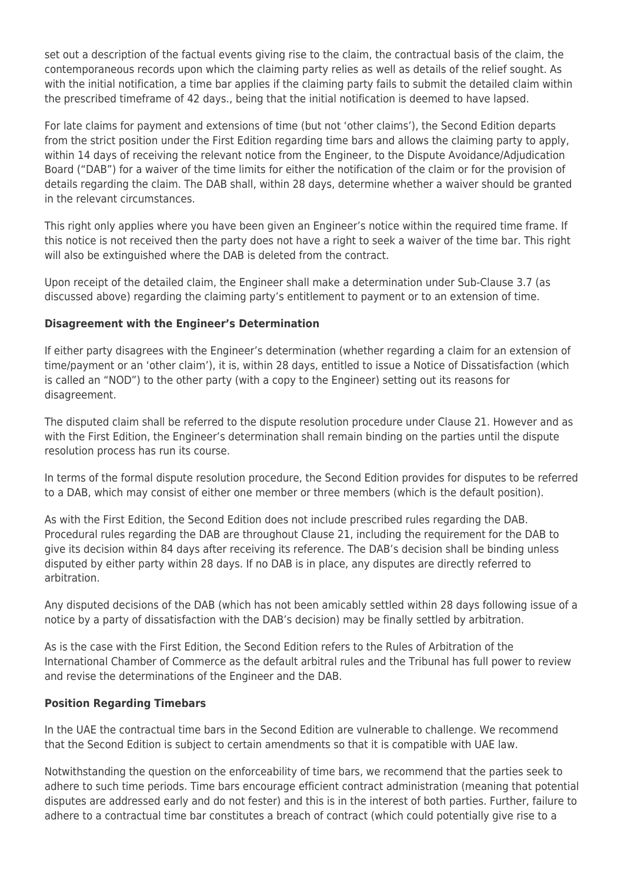set out a description of the factual events giving rise to the claim, the contractual basis of the claim, the contemporaneous records upon which the claiming party relies as well as details of the relief sought. As with the initial notification, a time bar applies if the claiming party fails to submit the detailed claim within the prescribed timeframe of 42 days., being that the initial notification is deemed to have lapsed.

For late claims for payment and extensions of time (but not 'other claims'), the Second Edition departs from the strict position under the First Edition regarding time bars and allows the claiming party to apply, within 14 days of receiving the relevant notice from the Engineer, to the Dispute Avoidance/Adjudication Board ("DAB") for a waiver of the time limits for either the notification of the claim or for the provision of details regarding the claim. The DAB shall, within 28 days, determine whether a waiver should be granted in the relevant circumstances.

This right only applies where you have been given an Engineer's notice within the required time frame. If this notice is not received then the party does not have a right to seek a waiver of the time bar. This right will also be extinguished where the DAB is deleted from the contract.

Upon receipt of the detailed claim, the Engineer shall make a determination under Sub-Clause 3.7 (as discussed above) regarding the claiming party's entitlement to payment or to an extension of time.

### **Disagreement with the Engineer's Determination**

If either party disagrees with the Engineer's determination (whether regarding a claim for an extension of time/payment or an 'other claim'), it is, within 28 days, entitled to issue a Notice of Dissatisfaction (which is called an "NOD") to the other party (with a copy to the Engineer) setting out its reasons for disagreement.

The disputed claim shall be referred to the dispute resolution procedure under Clause 21. However and as with the First Edition, the Engineer's determination shall remain binding on the parties until the dispute resolution process has run its course.

In terms of the formal dispute resolution procedure, the Second Edition provides for disputes to be referred to a DAB, which may consist of either one member or three members (which is the default position).

As with the First Edition, the Second Edition does not include prescribed rules regarding the DAB. Procedural rules regarding the DAB are throughout Clause 21, including the requirement for the DAB to give its decision within 84 days after receiving its reference. The DAB's decision shall be binding unless disputed by either party within 28 days. If no DAB is in place, any disputes are directly referred to arbitration.

Any disputed decisions of the DAB (which has not been amicably settled within 28 days following issue of a notice by a party of dissatisfaction with the DAB's decision) may be finally settled by arbitration.

As is the case with the First Edition, the Second Edition refers to the Rules of Arbitration of the International Chamber of Commerce as the default arbitral rules and the Tribunal has full power to review and revise the determinations of the Engineer and the DAB.

#### **Position Regarding Timebars**

In the UAE the contractual time bars in the Second Edition are vulnerable to challenge. We recommend that the Second Edition is subject to certain amendments so that it is compatible with UAE law.

Notwithstanding the question on the enforceability of time bars, we recommend that the parties seek to adhere to such time periods. Time bars encourage efficient contract administration (meaning that potential disputes are addressed early and do not fester) and this is in the interest of both parties. Further, failure to adhere to a contractual time bar constitutes a breach of contract (which could potentially give rise to a